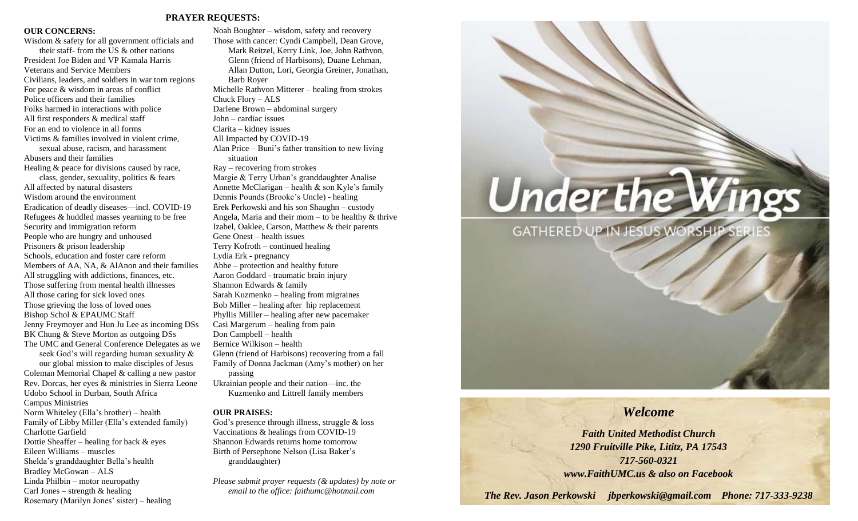### **PRAYER REQUESTS:**

### **OUR CONCERNS:**

Wisdom & safety for all government officials and their staff- from the US & other nations President Joe Biden and VP Kamala Harris Veterans and Service Members Civilians, leaders, and soldiers in war torn regions For peace & wisdom in areas of conflict Police officers and their families Folks harmed in interactions with police All first responders & medical staff For an end to violence in all forms Victims & families involved in violent crime, sexual abuse, racism, and harassment Abusers and their families Healing & peace for divisions caused by race, class, gender, sexuality, politics & fears All affected by natural disasters Wisdom around the environment Eradication of deadly diseases—incl. COVID-19 Refugees & huddled masses yearning to be free Security and immigration reform People who are hungry and unhoused Prisoners & prison leadership Schools, education and foster care reform Members of AA, NA, & AlAnon and their families All struggling with addictions, finances, etc. Those suffering from mental health illnesses All those caring for sick loved ones Those grieving the loss of loved ones Bishop Schol & EPAUMC Staff Jenny Freymoyer and Hun Ju Lee as incoming DSs BK Chung & Steve Morton as outgoing DSs The UMC and General Conference Delegates as we seek God's will regarding human sexuality & our global mission to make disciples of Jesus Coleman Memorial Chapel & calling a new pastor Rev. Dorcas, her eyes & ministries in Sierra Leone Udobo School in Durban, South Africa Campus Ministries Norm Whiteley (Ella's brother) – health Family of Libby Miller (Ella's extended family) Charlotte Garfield Dottie Sheaffer – healing for back & eyes Eileen Williams – muscles Shelda's granddaughter Bella's health

Bradley McGowan – ALS Linda Philbin – motor neuropathy Carl Jones – strength  $&$  healing Rosemary (Marilyn Jones' sister) – healing

Noah Boughter – wisdom, safety and recovery Those with cancer: Cyndi Campbell, Dean Grove, Mark Reitzel, Kerry Link, Joe, John Rathvon, Glenn (friend of Harbisons), Duane Lehman, Allan Dutton, Lori, Georgia Greiner, Jonathan, Barb Royer Michelle Rathvon Mitterer – healing from strokes Chuck Flory – ALS Darlene Brown – abdominal surgery John – cardiac issues Clarita – kidney issues All Impacted by COVID-19 Alan Price – Buni's father transition to new living situation Ray – recovering from strokes Margie & Terry Urban's granddaughter Analise Annette McClarigan – health & son Kyle's family Dennis Pounds (Brooke's Uncle) - healing Erek Perkowski and his son Shaughn – custody Angela, Maria and their mom – to be healthy  $&$  thrive Izabel, Oaklee, Carson, Matthew & their parents Gene Onest – health issues Terry Kofroth – continued healing Lydia Erk - pregnancy Abbe – protection and healthy future Aaron Goddard - traumatic brain injury Shannon Edwards & family Sarah Kuzmenko – healing from migraines Bob Miller – healing after hip replacement Phyllis Milller – healing after new pacemaker Casi Margerum – healing from pain Don Campbell – health Bernice Wilkison – health Glenn (friend of Harbisons) recovering from a fall Family of Donna Jackman (Amy's mother) on her passing Ukrainian people and their nation—inc. the Kuzmenko and Littrell family members

### **OUR PRAISES:**

God's presence through illness, struggle & loss Vaccinations & healings from COVID-19 Shannon Edwards returns home tomorrow Birth of Persephone Nelson (Lisa Baker's granddaughter)

*Please submit prayer requests (& updates) by note or email to the office: faithumc@hotmail.com*



# *Welcome*

*Faith United Methodist Church 1290 Fruitville Pike, Lititz, PA 17543 717-560-0321 www.FaithUMC.us & also on Facebook*

*The Rev. Jason Perkowski jbperkowski@gmail.com Phone: 717-333-9238*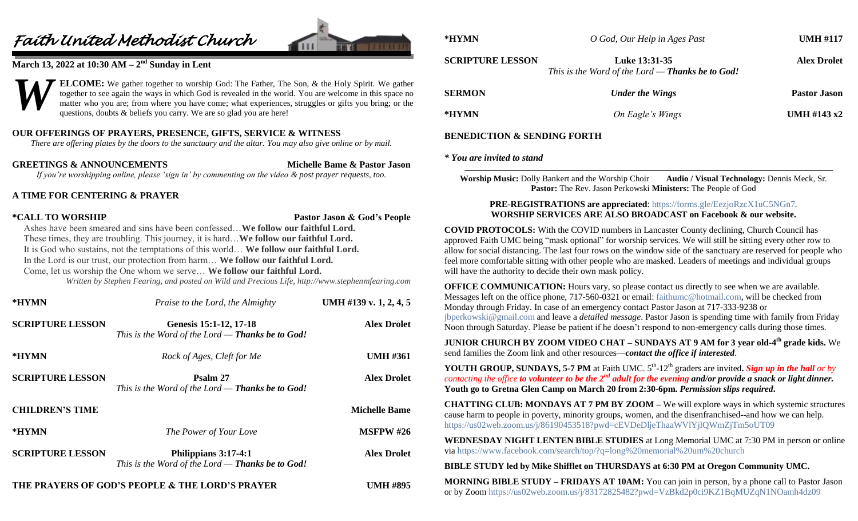# *Faith United Methodist Church*



## **March 13, 2022 at 10:30 AM – 2 nd Sunday in Lent**



### **OUR OFFERINGS OF PRAYERS, PRESENCE, GIFTS, SERVICE & WITNESS**

*There are offering plates by the doors to the sanctuary and the altar. You may also give online or by mail.*

**GREETINGS & ANNOUNCEMENTS Michelle Bame & Pastor Jason** *If you're worshipping online, please 'sign in' by commenting on the video & post prayer requests, too.*

### **A TIME FOR CENTERING & PRAYER**

**\*CALL TO WORSHIP Pastor Jason & God's People**

Ashes have been smeared and sins have been confessed…**We follow our faithful Lord.** These times, they are troubling. This journey, it is hard…**We follow our faithful Lord.** It is God who sustains, not the temptations of this world… **We follow our faithful Lord.** In the Lord is our trust, our protection from harm… **We follow our faithful Lord.** Come, let us worship the One whom we serve… **We follow our faithful Lord.**

*Written by Stephen Fearing, and posted on Wild and Precious Life, http://www.stephenmfearing.com*

| *HYMN                   | Praise to the Lord, the Almighty                                                  | UMH #139 v. 1, 2, 4, 5 |
|-------------------------|-----------------------------------------------------------------------------------|------------------------|
| <b>SCRIPTURE LESSON</b> | Genesis 15:1-12, 17-18<br>This is the Word of the Lord — <b>Thanks be to God!</b> | <b>Alex Drolet</b>     |
| *HYMN                   | Rock of Ages, Cleft for Me                                                        | <b>UMH #361</b>        |
| <b>SCRIPTURE LESSON</b> | Psalm 27<br>This is the Word of the Lord $-$ Thanks be to God!                    | <b>Alex Drolet</b>     |
| <b>CHILDREN'S TIME</b>  |                                                                                   | <b>Michelle Bame</b>   |
| *HYMN                   | The Power of Your Love                                                            | <b>MSFPW #26</b>       |
| <b>SCRIPTURE LESSON</b> | Philippians 3:17-4:1<br>This is the Word of the Lord $-$ Thanks be to God!        | <b>Alex Drolet</b>     |
|                         | THE PRAYERS OF GOD'S PEOPLE & THE LORD'S PRAYER                                   | <b>UMH #895</b>        |

| - пітміх                | U God, Um Tielp in Ages Fusi                                             | $U$ viti #11/       |
|-------------------------|--------------------------------------------------------------------------|---------------------|
| <b>SCRIPTURE LESSON</b> | Luke 13:31-35<br>This is the Word of the Lord — <b>Thanks be to God!</b> | <b>Alex Drolet</b>  |
| <b>SERMON</b>           | <b>Under the Wings</b>                                                   | <b>Pastor Jason</b> |
| *HYMN                   | On Eagle's Wings                                                         | UMH #143 $x2$       |

### **BENEDICTION & SENDING FORTH**

### *\* You are invited to stand*

**Worship Music:** Dolly Bankert and the Worship Choir **Audio / Visual Technology:** Dennis Meck, Sr. **Pastor:** The Rev. Jason Perkowski **Ministers:** The People of God

### **PRE-REGISTRATIONS are appreciated**:<https://forms.gle/EezjoRzcX1uC5NGn7>*.* **WORSHIP SERVICES ARE ALSO BROADCAST on Facebook & our website.**

**COVID PROTOCOLS:** With the COVID numbers in Lancaster County declining, Church Council has approved Faith UMC being "mask optional" for worship services. We will still be sitting every other row to allow for social distancing. The last four rows on the window side of the sanctuary are reserved for people who feel more comfortable sitting with other people who are masked. Leaders of meetings and individual groups will have the authority to decide their own mask policy.

**OFFICE COMMUNICATION:** Hours vary, so please contact us directly to see when we are available. Messages left on the office phone, 717-560-0321 or email: [faithumc@hotmail.com,](mailto:faithumc@hotmail.com) will be checked from Monday through Friday. In case of an emergency contact Pastor Jason at 717-333-9238 or [jbperkowski@gmail.com](mailto:jbperkowski@gmail.com) and leave a *detailed message*. Pastor Jason is spending time with family from Friday Noon through Saturday. Please be patient if he doesn't respond to non-emergency calls during those times.

**JUNIOR CHURCH BY ZOOM VIDEO CHAT – SUNDAYS AT 9 AM for 3 year old-4 th grade kids.** We send families the Zoom link and other resources—*contact the office if interested*.

**YOUTH GROUP, SUNDAYS, 5-7 PM** at Faith UMC. 5<sup>th</sup>-12<sup>th</sup> graders are invited. Sign up in the hall or by *contacting the office to volunteer to be the 2nd adult for the evening and/or provide a snack or light dinner.* **Youth go to Gretna Glen Camp on March 20 from 2:30-6pm.** *Permission slips required***.**

**CHATTING CLUB: MONDAYS AT 7 PM BY ZOOM –** We will explore ways in which systemic structures cause harm to people in poverty, minority groups, women, and the disenfranchised--and how we can help. <https://us02web.zoom.us/j/86190453518?pwd=cEVDeDljeThaaWVlYjlQWmZjTm5oUT09>

**WEDNESDAY NIGHT LENTEN BIBLE STUDIES** at Long Memorial UMC at 7:30 PM in person or online via<https://www.facebook.com/search/top/?q=long%20memorial%20um%20church>

**BIBLE STUDY led by Mike Shifflet on THURSDAYS at 6:30 PM at Oregon Community UMC.**

**MORNING BIBLE STUDY – FRIDAYS AT 10AM:** You can join in person, by a phone call to Pastor Jason or by Zoom <https://us02web.zoom.us/j/83172825482?pwd=VzBkd2p0ci9KZ1BqMUZqN1NOamh4dz09>

**\*HYMN** *O God, Our Help in Ages Past* **UMH #117**